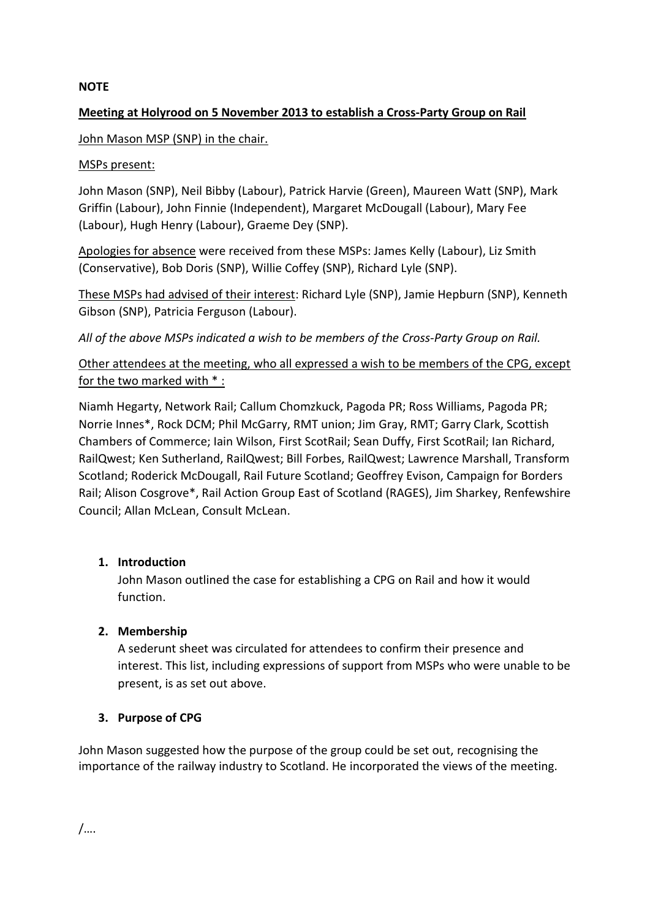### **NOTE**

# **Meeting at Holyrood on 5 November 2013 to establish a Cross-Party Group on Rail**

### John Mason MSP (SNP) in the chair.

### MSPs present:

John Mason (SNP), Neil Bibby (Labour), Patrick Harvie (Green), Maureen Watt (SNP), Mark Griffin (Labour), John Finnie (Independent), Margaret McDougall (Labour), Mary Fee (Labour), Hugh Henry (Labour), Graeme Dey (SNP).

Apologies for absence were received from these MSPs: James Kelly (Labour), Liz Smith (Conservative), Bob Doris (SNP), Willie Coffey (SNP), Richard Lyle (SNP).

These MSPs had advised of their interest: Richard Lyle (SNP), Jamie Hepburn (SNP), Kenneth Gibson (SNP), Patricia Ferguson (Labour).

*All of the above MSPs indicated a wish to be members of the Cross-Party Group on Rail.*

Other attendees at the meeting, who all expressed a wish to be members of the CPG, except for the two marked with  $*$ :

Niamh Hegarty, Network Rail; Callum Chomzkuck, Pagoda PR; Ross Williams, Pagoda PR; Norrie Innes\*, Rock DCM; Phil McGarry, RMT union; Jim Gray, RMT; Garry Clark, Scottish Chambers of Commerce; Iain Wilson, First ScotRail; Sean Duffy, First ScotRail; Ian Richard, RailQwest; Ken Sutherland, RailQwest; Bill Forbes, RailQwest; Lawrence Marshall, Transform Scotland; Roderick McDougall, Rail Future Scotland; Geoffrey Evison, Campaign for Borders Rail; Alison Cosgrove\*, Rail Action Group East of Scotland (RAGES), Jim Sharkey, Renfewshire Council; Allan McLean, Consult McLean.

# **1. Introduction**

John Mason outlined the case for establishing a CPG on Rail and how it would function.

# **2. Membership**

A sederunt sheet was circulated for attendees to confirm their presence and interest. This list, including expressions of support from MSPs who were unable to be present, is as set out above.

#### **3. Purpose of CPG**

John Mason suggested how the purpose of the group could be set out, recognising the importance of the railway industry to Scotland. He incorporated the views of the meeting.